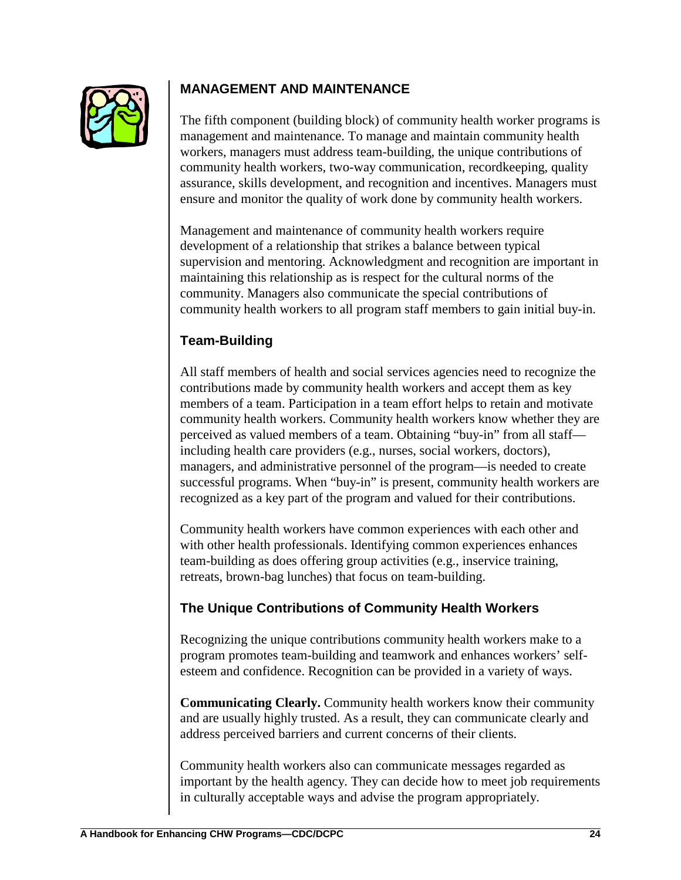

## **MANAGEMENT AND MAINTENANCE**

The fifth component (building block) of community health worker programs is management and maintenance. To manage and maintain community health workers, managers must address team-building, the unique contributions of community health workers, two-way communication, recordkeeping, quality assurance, skills development, and recognition and incentives. Managers must ensure and monitor the quality of work done by community health workers.

Management and maintenance of community health workers require development of a relationship that strikes a balance between typical supervision and mentoring. Acknowledgment and recognition are important in maintaining this relationship as is respect for the cultural norms of the community. Managers also communicate the special contributions of community health workers to all program staff members to gain initial buy-in.

# **Team-Building**

All staff members of health and social services agencies need to recognize the contributions made by community health workers and accept them as key members of a team. Participation in a team effort helps to retain and motivate community health workers. Community health workers know whether they are perceived as valued members of a team. Obtaining "buy-in" from all staff including health care providers (e.g., nurses, social workers, doctors), managers, and administrative personnel of the program—is needed to create successful programs. When "buy-in" is present, community health workers are recognized as a key part of the program and valued for their contributions.

Community health workers have common experiences with each other and with other health professionals. Identifying common experiences enhances team-building as does offering group activities (e.g., inservice training, retreats, brown-bag lunches) that focus on team-building.

## **The Unique Contributions of Community Health Workers**

Recognizing the unique contributions community health workers make to a program promotes team-building and teamwork and enhances workers' selfesteem and confidence. Recognition can be provided in a variety of ways.

**Communicating Clearly.** Community health workers know their community and are usually highly trusted. As a result, they can communicate clearly and address perceived barriers and current concerns of their clients.

Community health workers also can communicate messages regarded as important by the health agency. They can decide how to meet job requirements in culturally acceptable ways and advise the program appropriately.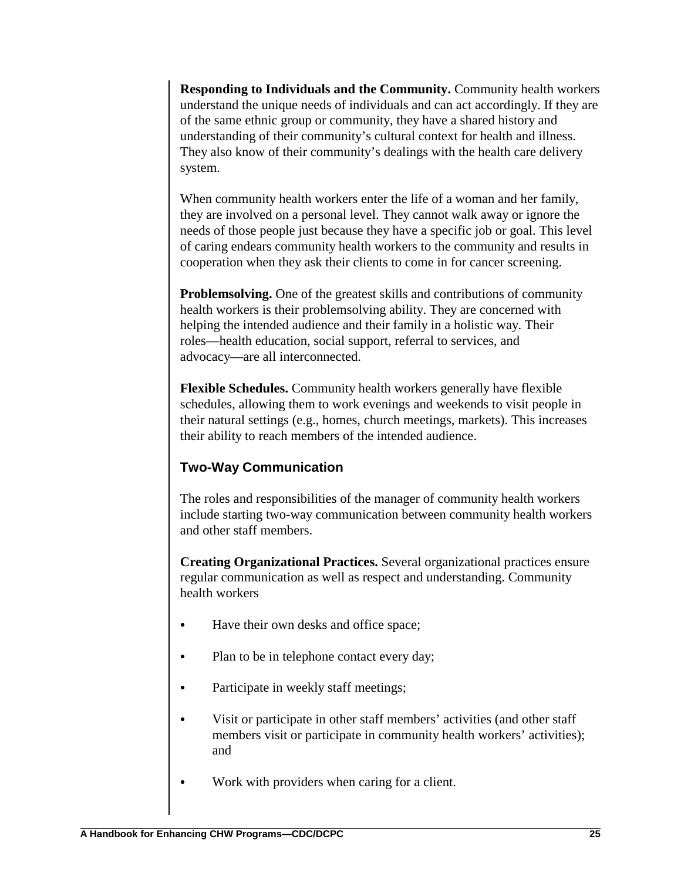**Responding to Individuals and the Community.** Community health workers understand the unique needs of individuals and can act accordingly. If they are of the same ethnic group or community, they have a shared history and understanding of their community's cultural context for health and illness. They also know of their community's dealings with the health care delivery system.

When community health workers enter the life of a woman and her family, they are involved on a personal level. They cannot walk away or ignore the needs of those people just because they have a specific job or goal. This level of caring endears community health workers to the community and results in cooperation when they ask their clients to come in for cancer screening.

**Problemsolving.** One of the greatest skills and contributions of community health workers is their problemsolving ability. They are concerned with helping the intended audience and their family in a holistic way. Their roles—health education, social support, referral to services, and advocacy—are all interconnected.

**Flexible Schedules.** Community health workers generally have flexible schedules, allowing them to work evenings and weekends to visit people in their natural settings (e.g., homes, church meetings, markets). This increases their ability to reach members of the intended audience.

## **Two-Way Communication**

The roles and responsibilities of the manager of community health workers include starting two-way communication between community health workers and other staff members.

**Creating Organizational Practices.** Several organizational practices ensure regular communication as well as respect and understanding. Community health workers

- Have their own desks and office space;
- Plan to be in telephone contact every day;
- Participate in weekly staff meetings;
- Visit or participate in other staff members' activities (and other staff members visit or participate in community health workers' activities); and
- Work with providers when caring for a client.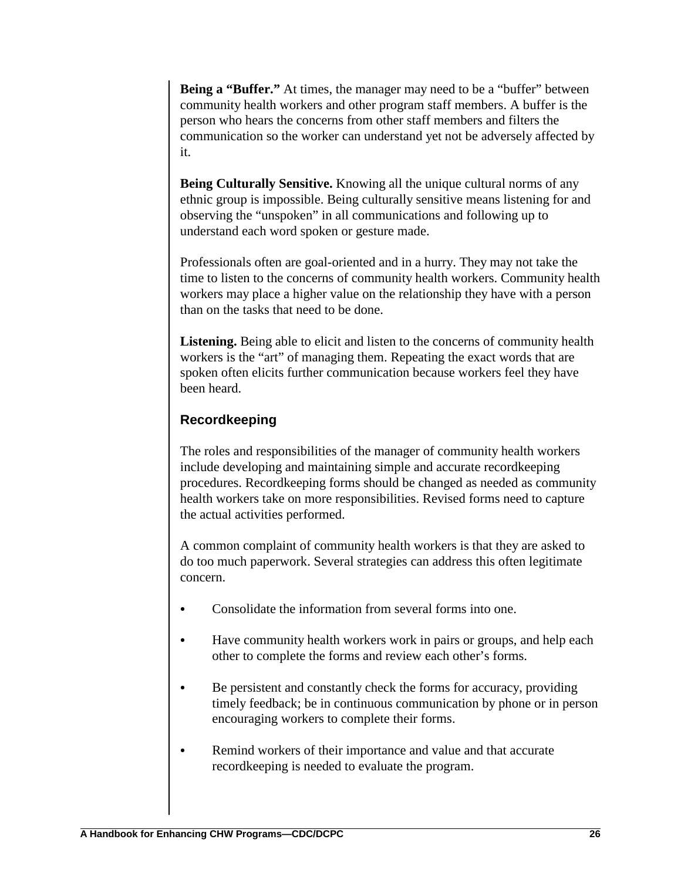**Being a "Buffer."** At times, the manager may need to be a "buffer" between community health workers and other program staff members. A buffer is the person who hears the concerns from other staff members and filters the communication so the worker can understand yet not be adversely affected by it.

**Being Culturally Sensitive.** Knowing all the unique cultural norms of any ethnic group is impossible. Being culturally sensitive means listening for and observing the "unspoken" in all communications and following up to understand each word spoken or gesture made.

Professionals often are goal-oriented and in a hurry. They may not take the time to listen to the concerns of community health workers. Community health workers may place a higher value on the relationship they have with a person than on the tasks that need to be done.

**Listening.** Being able to elicit and listen to the concerns of community health workers is the "art" of managing them. Repeating the exact words that are spoken often elicits further communication because workers feel they have been heard.

#### **Recordkeeping**

The roles and responsibilities of the manager of community health workers include developing and maintaining simple and accurate recordkeeping procedures. Recordkeeping forms should be changed as needed as community health workers take on more responsibilities. Revised forms need to capture the actual activities performed.

A common complaint of community health workers is that they are asked to do too much paperwork. Several strategies can address this often legitimate concern.

- Consolidate the information from several forms into one.
- Have community health workers work in pairs or groups, and help each other to complete the forms and review each other's forms.
- Be persistent and constantly check the forms for accuracy, providing timely feedback; be in continuous communication by phone or in person encouraging workers to complete their forms.
- Remind workers of their importance and value and that accurate recordkeeping is needed to evaluate the program.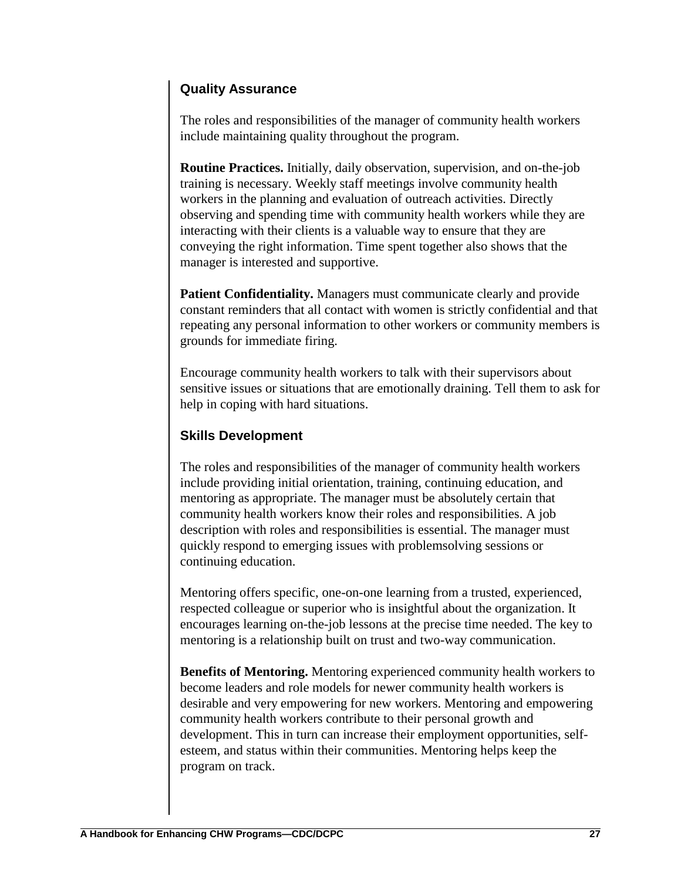## **Quality Assurance**

The roles and responsibilities of the manager of community health workers include maintaining quality throughout the program.

**Routine Practices.** Initially, daily observation, supervision, and on-the-job training is necessary. Weekly staff meetings involve community health workers in the planning and evaluation of outreach activities. Directly observing and spending time with community health workers while they are interacting with their clients is a valuable way to ensure that they are conveying the right information. Time spent together also shows that the manager is interested and supportive.

Patient Confidentiality. Managers must communicate clearly and provide constant reminders that all contact with women is strictly confidential and that repeating any personal information to other workers or community members is grounds for immediate firing.

Encourage community health workers to talk with their supervisors about sensitive issues or situations that are emotionally draining. Tell them to ask for help in coping with hard situations.

## **Skills Development**

The roles and responsibilities of the manager of community health workers include providing initial orientation, training, continuing education, and mentoring as appropriate. The manager must be absolutely certain that community health workers know their roles and responsibilities. A job description with roles and responsibilities is essential. The manager must quickly respond to emerging issues with problemsolving sessions or continuing education.

Mentoring offers specific, one-on-one learning from a trusted, experienced, respected colleague or superior who is insightful about the organization. It encourages learning on-the-job lessons at the precise time needed. The key to mentoring is a relationship built on trust and two-way communication.

**Benefits of Mentoring.** Mentoring experienced community health workers to become leaders and role models for newer community health workers is desirable and very empowering for new workers. Mentoring and empowering community health workers contribute to their personal growth and development. This in turn can increase their employment opportunities, selfesteem, and status within their communities. Mentoring helps keep the program on track.